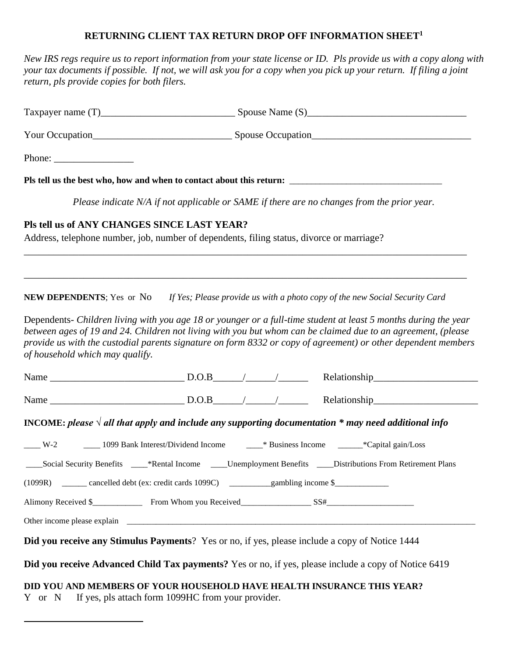## **RETURNING CLIENT TAX RETURN DROP OFF INFORMATION SHEET<sup>1</sup>**

*New IRS regs require us to report information from your state license or ID. Pls provide us with a copy along with your tax documents if possible. If not, we will ask you for a copy when you pick up your return. If filing a joint return, pls provide copies for both filers.*

| Phone: $\frac{1}{\sqrt{1-\frac{1}{2}}\sqrt{1-\frac{1}{2}}\sqrt{1-\frac{1}{2}}\sqrt{1-\frac{1}{2}}\sqrt{1-\frac{1}{2}}\sqrt{1-\frac{1}{2}}\sqrt{1-\frac{1}{2}}\sqrt{1-\frac{1}{2}}\sqrt{1-\frac{1}{2}}\sqrt{1-\frac{1}{2}}\sqrt{1-\frac{1}{2}}\sqrt{1-\frac{1}{2}}\sqrt{1-\frac{1}{2}}\sqrt{1-\frac{1}{2}}\sqrt{1-\frac{1}{2}}\sqrt{1-\frac{1}{2}}\sqrt{1-\frac{1}{2}}\sqrt{1-\frac{1}{2}}\sqrt{1-\frac{1}{2$                                                                                         |                                                    |  |  |  |  |  |  |
|------------------------------------------------------------------------------------------------------------------------------------------------------------------------------------------------------------------------------------------------------------------------------------------------------------------------------------------------------------------------------------------------------------------------------------------------------------------------------------------------------|----------------------------------------------------|--|--|--|--|--|--|
| Pls tell us the best who, how and when to contact about this return:                                                                                                                                                                                                                                                                                                                                                                                                                                 |                                                    |  |  |  |  |  |  |
| Please indicate N/A if not applicable or SAME if there are no changes from the prior year.                                                                                                                                                                                                                                                                                                                                                                                                           |                                                    |  |  |  |  |  |  |
| Pls tell us of ANY CHANGES SINCE LAST YEAR?<br>Address, telephone number, job, number of dependents, filing status, divorce or marriage?                                                                                                                                                                                                                                                                                                                                                             |                                                    |  |  |  |  |  |  |
| <b>NEW DEPENDENTS</b> ; Yes or No If Yes; Please provide us with a photo copy of the new Social Security Card<br>Dependents- Children living with you age 18 or younger or a full-time student at least 5 months during the year<br>between ages of 19 and 24. Children not living with you but whom can be claimed due to an agreement, (please<br>provide us with the custodial parents signature on form 8332 or copy of agreement) or other dependent members<br>of household which may qualify. |                                                    |  |  |  |  |  |  |
|                                                                                                                                                                                                                                                                                                                                                                                                                                                                                                      |                                                    |  |  |  |  |  |  |
|                                                                                                                                                                                                                                                                                                                                                                                                                                                                                                      |                                                    |  |  |  |  |  |  |
| <b>INCOME:</b> please $\sqrt{al}$ all that apply and include any supporting documentation $*$ may need additional info                                                                                                                                                                                                                                                                                                                                                                               |                                                    |  |  |  |  |  |  |
| ____Social Security Benefits _____*Rental Income _____Unemployment Benefits ____Distributions From Retirement Plans<br>(1099R) _______ cancelled debt (ex: credit cards 1099C) __________gambling income \$________                                                                                                                                                                                                                                                                                  |                                                    |  |  |  |  |  |  |
|                                                                                                                                                                                                                                                                                                                                                                                                                                                                                                      |                                                    |  |  |  |  |  |  |
|                                                                                                                                                                                                                                                                                                                                                                                                                                                                                                      |                                                    |  |  |  |  |  |  |
| Did you receive any Stimulus Payments? Yes or no, if yes, please include a copy of Notice 1444                                                                                                                                                                                                                                                                                                                                                                                                       |                                                    |  |  |  |  |  |  |
| Did you receive Advanced Child Tax payments? Yes or no, if yes, please include a copy of Notice 6419<br>DID YOU AND MEMBERS OF YOUR HOUSEHOLD HAVE HEALTH INSURANCE THIS YEAR?<br>Y or N                                                                                                                                                                                                                                                                                                             | If yes, pls attach form 1099HC from your provider. |  |  |  |  |  |  |